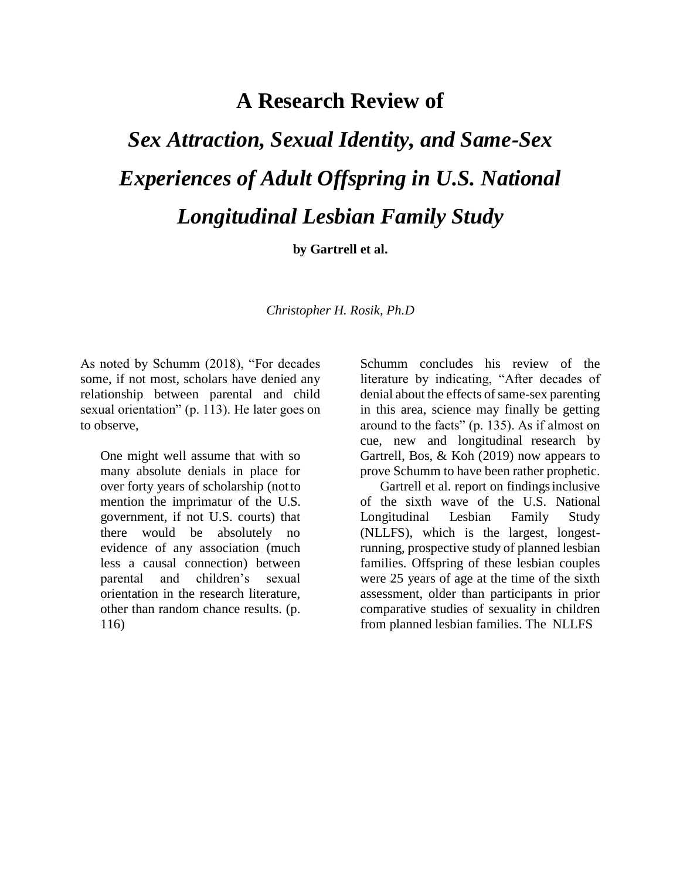## **A Research Review of**

## *Sex Attraction, Sexual Identity, and Same-Sex Experiences of Adult Offspring in U.S. National Longitudinal Lesbian Family Study*

**by Gartrell et al.**

*Christopher H. Rosik, Ph.D*

As noted by Schumm (2018), "For decades some, if not most, scholars have denied any relationship between parental and child sexual orientation" (p. 113). He later goes on to observe,

One might well assume that with so many absolute denials in place for over forty years of scholarship (notto mention the imprimatur of the U.S. government, if not U.S. courts) that there would be absolutely no evidence of any association (much less a causal connection) between parental and children's sexual orientation in the research literature, other than random chance results. (p. 116)

Schumm concludes his review of the literature by indicating, "After decades of denial about the effects of same-sex parenting in this area, science may finally be getting around to the facts" (p. 135). As if almost on cue, new and longitudinal research by Gartrell, Bos, & Koh (2019) now appears to prove Schumm to have been rather prophetic.

Gartrell et al. report on findings inclusive of the sixth wave of the U.S. National Longitudinal Lesbian Family Study (NLLFS), which is the largest, longestrunning, prospective study of planned lesbian families. Offspring of these lesbian couples were 25 years of age at the time of the sixth assessment, older than participants in prior comparative studies of sexuality in children from planned lesbian families. The NLLFS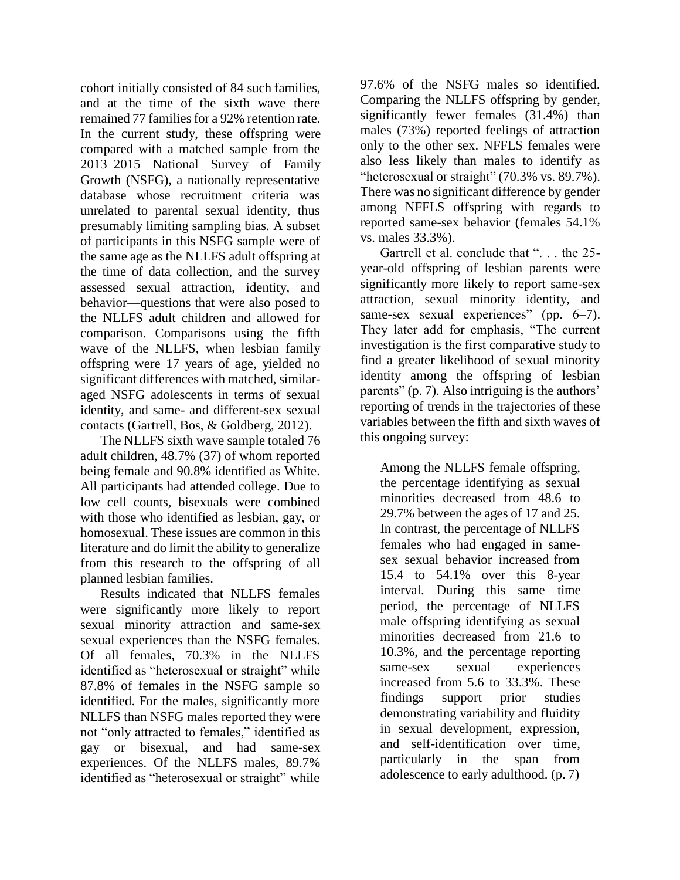cohort initially consisted of 84 such families, and at the time of the sixth wave there remained 77 families for a 92% retention rate. In the current study, these offspring were compared with a matched sample from the 2013–2015 National Survey of Family Growth (NSFG), a nationally representative database whose recruitment criteria was unrelated to parental sexual identity, thus presumably limiting sampling bias. A subset of participants in this NSFG sample were of the same age as the NLLFS adult offspring at the time of data collection, and the survey assessed sexual attraction, identity, and behavior—questions that were also posed to the NLLFS adult children and allowed for comparison. Comparisons using the fifth wave of the NLLFS, when lesbian family offspring were 17 years of age, yielded no significant differences with matched, similaraged NSFG adolescents in terms of sexual identity, and same- and different-sex sexual contacts (Gartrell, Bos, & Goldberg, 2012).

The NLLFS sixth wave sample totaled 76 adult children, 48.7% (37) of whom reported being female and 90.8% identified as White. All participants had attended college. Due to low cell counts, bisexuals were combined with those who identified as lesbian, gay, or homosexual. These issues are common in this literature and do limit the ability to generalize from this research to the offspring of all planned lesbian families.

Results indicated that NLLFS females were significantly more likely to report sexual minority attraction and same-sex sexual experiences than the NSFG females. Of all females, 70.3% in the NLLFS identified as "heterosexual or straight" while 87.8% of females in the NSFG sample so identified. For the males, significantly more NLLFS than NSFG males reported they were not "only attracted to females," identified as gay or bisexual, and had same-sex experiences. Of the NLLFS males, 89.7% identified as "heterosexual or straight" while

97.6% of the NSFG males so identified. Comparing the NLLFS offspring by gender, significantly fewer females (31.4%) than males (73%) reported feelings of attraction only to the other sex. NFFLS females were also less likely than males to identify as "heterosexual or straight" (70.3% vs. 89.7%). There was no significant difference by gender among NFFLS offspring with regards to reported same-sex behavior (females 54.1% vs. males 33.3%).

Gartrell et al. conclude that ". . . the 25 year-old offspring of lesbian parents were significantly more likely to report same-sex attraction, sexual minority identity, and same-sex sexual experiences" (pp. 6–7). They later add for emphasis, "The current investigation is the first comparative study to find a greater likelihood of sexual minority identity among the offspring of lesbian parents" (p. 7). Also intriguing is the authors' reporting of trends in the trajectories of these variables between the fifth and sixth waves of this ongoing survey:

Among the NLLFS female offspring, the percentage identifying as sexual minorities decreased from 48.6 to 29.7% between the ages of 17 and 25. In contrast, the percentage of NLLFS females who had engaged in samesex sexual behavior increased from 15.4 to 54.1% over this 8-year interval. During this same time period, the percentage of NLLFS male offspring identifying as sexual minorities decreased from 21.6 to 10.3%, and the percentage reporting same-sex sexual experiences increased from 5.6 to 33.3%. These findings support prior studies demonstrating variability and fluidity in sexual development, expression, and self-identification over time, particularly in the span from adolescence to early adulthood. (p. 7)